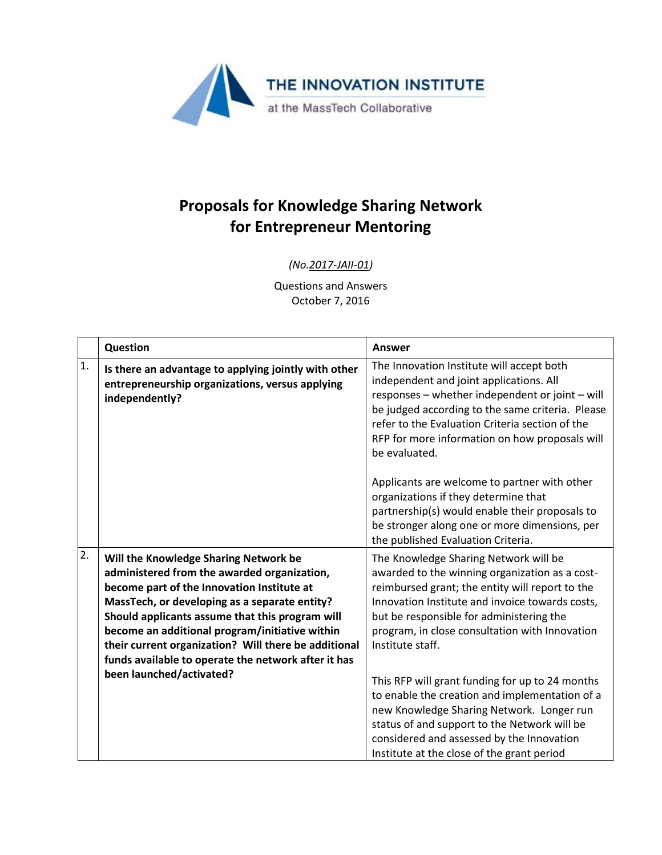

## **Proposals for Knowledge Sharing Network for Entrepreneur Mentoring**

## *(No.2017-JAII-01)*

Questions and Answers October 7, 2016

|                  | Question                                                                                                                                                                                                                                                                                                                                                                                                | <b>Answer</b>                                                                                                                                                                                                                                                                                                     |
|------------------|---------------------------------------------------------------------------------------------------------------------------------------------------------------------------------------------------------------------------------------------------------------------------------------------------------------------------------------------------------------------------------------------------------|-------------------------------------------------------------------------------------------------------------------------------------------------------------------------------------------------------------------------------------------------------------------------------------------------------------------|
| 1.               | Is there an advantage to applying jointly with other<br>entrepreneurship organizations, versus applying<br>independently?                                                                                                                                                                                                                                                                               | The Innovation Institute will accept both<br>independent and joint applications. All<br>responses - whether independent or joint - will<br>be judged according to the same criteria. Please<br>refer to the Evaluation Criteria section of the<br>RFP for more information on how proposals will<br>be evaluated. |
|                  |                                                                                                                                                                                                                                                                                                                                                                                                         | Applicants are welcome to partner with other<br>organizations if they determine that<br>partnership(s) would enable their proposals to<br>be stronger along one or more dimensions, per<br>the published Evaluation Criteria.                                                                                     |
| $\overline{2}$ . | Will the Knowledge Sharing Network be<br>administered from the awarded organization,<br>become part of the Innovation Institute at<br>MassTech, or developing as a separate entity?<br>Should applicants assume that this program will<br>become an additional program/initiative within<br>their current organization? Will there be additional<br>funds available to operate the network after it has | The Knowledge Sharing Network will be<br>awarded to the winning organization as a cost-<br>reimbursed grant; the entity will report to the<br>Innovation Institute and invoice towards costs,<br>but be responsible for administering the<br>program, in close consultation with Innovation<br>Institute staff.   |
|                  | been launched/activated?                                                                                                                                                                                                                                                                                                                                                                                | This RFP will grant funding for up to 24 months<br>to enable the creation and implementation of a<br>new Knowledge Sharing Network. Longer run<br>status of and support to the Network will be<br>considered and assessed by the Innovation<br>Institute at the close of the grant period                         |